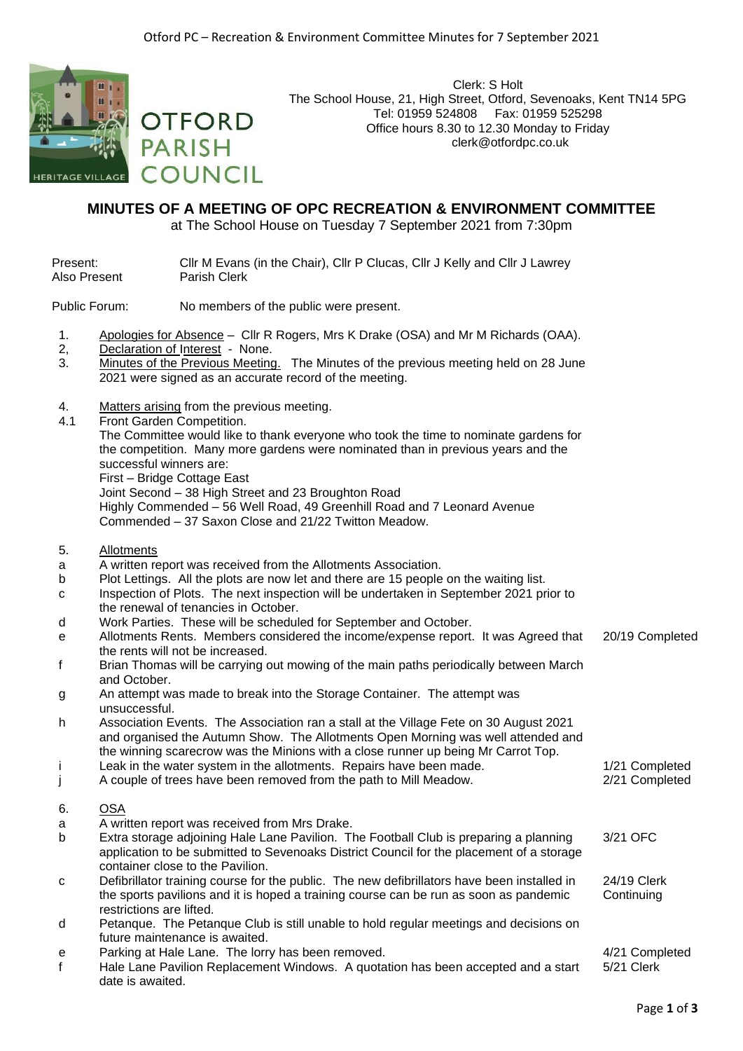

Clerk: S Holt The School House, 21, High Street, Otford, Sevenoaks, Kent TN14 5PG Tel: 01959 524808 Fax: 01959 525298 Office hours 8.30 to 12.30 Monday to Friday clerk@otfordpc.co.uk

## **MINUTES OF A MEETING OF OPC RECREATION & ENVIRONMENT COMMITTEE**

at The School House on Tuesday 7 September 2021 from 7:30pm

Present: Cllr M Evans (in the Chair), Cllr P Clucas, Cllr J Kelly and Cllr J Lawrey Also Present Parish Clerk

Public Forum: No members of the public were present.

- 1. Apologies for Absence Cllr R Rogers, Mrs K Drake (OSA) and Mr M Richards (OAA).
- 2, Declaration of Interest None.
- 3. Minutes of the Previous Meeting. The Minutes of the previous meeting held on 28 June 2021 were signed as an accurate record of the meeting.
- 4. Matters arising from the previous meeting.

**OTFORD** 

COUNCIL

**PARISH** 

4.1 Front Garden Competition.

The Committee would like to thank everyone who took the time to nominate gardens for the competition. Many more gardens were nominated than in previous years and the successful winners are:

First – Bridge Cottage East

Joint Second – 38 High Street and 23 Broughton Road

Highly Commended – 56 Well Road, 49 Greenhill Road and 7 Leonard Avenue Commended – 37 Saxon Close and 21/22 Twitton Meadow.

- 5. Allotments
- a A written report was received from the Allotments Association.
- b Plot Lettings. All the plots are now let and there are 15 people on the waiting list.
- c Inspection of Plots. The next inspection will be undertaken in September 2021 prior to the renewal of tenancies in October.
- d Work Parties. These will be scheduled for September and October.
- e Allotments Rents. Members considered the income/expense report. It was Agreed that the rents will not be increased. 20/19 Completed f Brian Thomas will be carrying out mowing of the main paths periodically between March
- and October. g An attempt was made to break into the Storage Container. The attempt was
- unsuccessful.
- h Association Events. The Association ran a stall at the Village Fete on 30 August 2021 and organised the Autumn Show. The Allotments Open Morning was well attended and the winning scarecrow was the Minions with a close runner up being Mr Carrot Top. i Leak in the water system in the allotments. Repairs have been made. 1/21 Completed
- 
- j A couple of trees have been removed from the path to Mill Meadow. 2/21 Completed 6. OSA
- a A written report was received from Mrs Drake.
- b Extra storage adjoining Hale Lane Pavilion. The Football Club is preparing a planning application to be submitted to Sevenoaks District Council for the placement of a storage container close to the Pavilion. 3/21 OFC
- c Defibrillator training course for the public. The new defibrillators have been installed in the sports pavilions and it is hoped a training course can be run as soon as pandemic restrictions are lifted. 24/19 Clerk **Continuing**
- d Petanque. The Petanque Club is still unable to hold regular meetings and decisions on future maintenance is awaited.
- e Parking at Hale Lane. The lorry has been removed. And the state of the 4/21 Completed
- f Hale Lane Pavilion Replacement Windows. A quotation has been accepted and a start date is awaited. 5/21 Clerk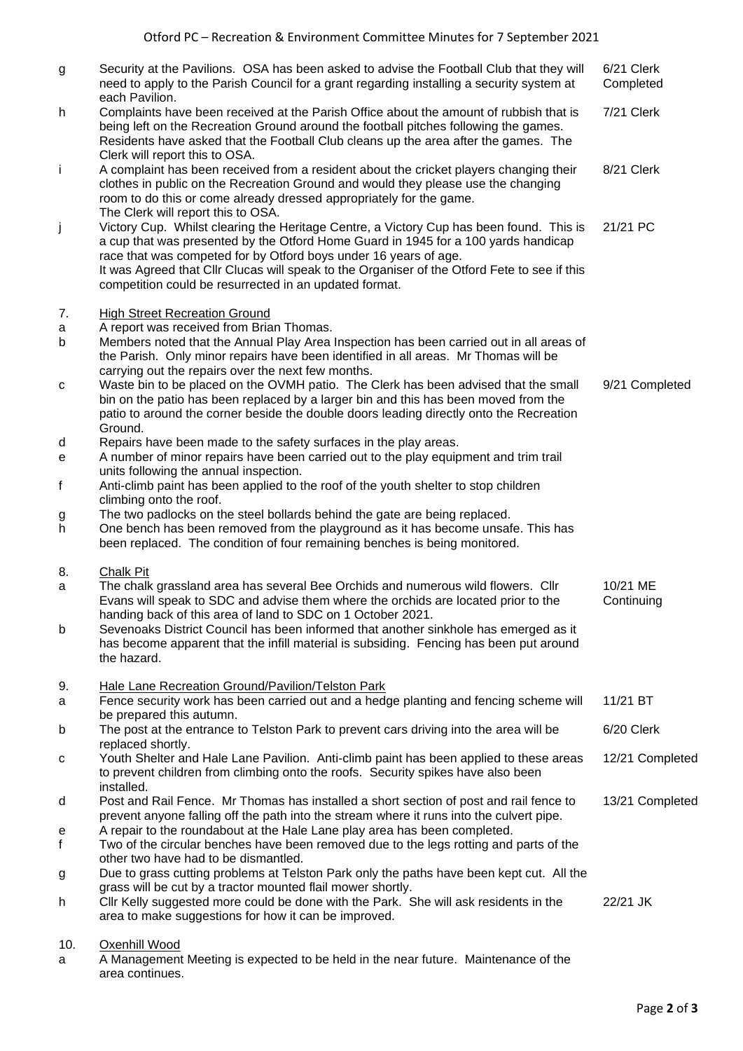| g      | Security at the Pavilions. OSA has been asked to advise the Football Club that they will<br>need to apply to the Parish Council for a grant regarding installing a security system at<br>each Pavilion.                                                                                                                                                                                                     | 6/21 Clerk<br>Completed |
|--------|-------------------------------------------------------------------------------------------------------------------------------------------------------------------------------------------------------------------------------------------------------------------------------------------------------------------------------------------------------------------------------------------------------------|-------------------------|
| h      | Complaints have been received at the Parish Office about the amount of rubbish that is<br>being left on the Recreation Ground around the football pitches following the games.<br>Residents have asked that the Football Club cleans up the area after the games. The<br>Clerk will report this to OSA.                                                                                                     | 7/21 Clerk              |
| j.     | A complaint has been received from a resident about the cricket players changing their<br>clothes in public on the Recreation Ground and would they please use the changing<br>room to do this or come already dressed appropriately for the game.<br>The Clerk will report this to OSA.                                                                                                                    | 8/21 Clerk              |
| j      | Victory Cup. Whilst clearing the Heritage Centre, a Victory Cup has been found. This is<br>a cup that was presented by the Otford Home Guard in 1945 for a 100 yards handicap<br>race that was competed for by Otford boys under 16 years of age.<br>It was Agreed that Cllr Clucas will speak to the Organiser of the Otford Fete to see if this<br>competition could be resurrected in an updated format. | 21/21 PC                |
| 7.     | <b>High Street Recreation Ground</b>                                                                                                                                                                                                                                                                                                                                                                        |                         |
| a<br>b | A report was received from Brian Thomas.<br>Members noted that the Annual Play Area Inspection has been carried out in all areas of<br>the Parish. Only minor repairs have been identified in all areas. Mr Thomas will be<br>carrying out the repairs over the next few months.                                                                                                                            |                         |
| C      | Waste bin to be placed on the OVMH patio. The Clerk has been advised that the small<br>bin on the patio has been replaced by a larger bin and this has been moved from the<br>patio to around the corner beside the double doors leading directly onto the Recreation<br>Ground.                                                                                                                            | 9/21 Completed          |
| d<br>e | Repairs have been made to the safety surfaces in the play areas.<br>A number of minor repairs have been carried out to the play equipment and trim trail<br>units following the annual inspection.                                                                                                                                                                                                          |                         |
| f      | Anti-climb paint has been applied to the roof of the youth shelter to stop children                                                                                                                                                                                                                                                                                                                         |                         |
| g<br>h | climbing onto the roof.<br>The two padlocks on the steel bollards behind the gate are being replaced.<br>One bench has been removed from the playground as it has become unsafe. This has<br>been replaced. The condition of four remaining benches is being monitored.                                                                                                                                     |                         |
| 8.     | <b>Chalk Pit</b>                                                                                                                                                                                                                                                                                                                                                                                            |                         |
| a      | The chalk grassland area has several Bee Orchids and numerous wild flowers. Cllr<br>Evans will speak to SDC and advise them where the orchids are located prior to the<br>handing back of this area of land to SDC on 1 October 2021.                                                                                                                                                                       | 10/21 ME<br>Continuing  |
| b      | Sevenoaks District Council has been informed that another sinkhole has emerged as it<br>has become apparent that the infill material is subsiding. Fencing has been put around<br>the hazard.                                                                                                                                                                                                               |                         |
| 9.     | Hale Lane Recreation Ground/Pavilion/Telston Park                                                                                                                                                                                                                                                                                                                                                           |                         |
| a      | Fence security work has been carried out and a hedge planting and fencing scheme will<br>be prepared this autumn.                                                                                                                                                                                                                                                                                           | 11/21 BT                |
| b      | The post at the entrance to Telston Park to prevent cars driving into the area will be                                                                                                                                                                                                                                                                                                                      | 6/20 Clerk              |
| с      | replaced shortly.<br>Youth Shelter and Hale Lane Pavilion. Anti-climb paint has been applied to these areas<br>to prevent children from climbing onto the roofs. Security spikes have also been<br>installed.                                                                                                                                                                                               | 12/21 Completed         |
| d      | Post and Rail Fence. Mr Thomas has installed a short section of post and rail fence to                                                                                                                                                                                                                                                                                                                      | 13/21 Completed         |
| е<br>f | prevent anyone falling off the path into the stream where it runs into the culvert pipe.<br>A repair to the roundabout at the Hale Lane play area has been completed.<br>Two of the circular benches have been removed due to the legs rotting and parts of the<br>other two have had to be dismantled.                                                                                                     |                         |
| g      | Due to grass cutting problems at Telston Park only the paths have been kept cut. All the                                                                                                                                                                                                                                                                                                                    |                         |
| h      | grass will be cut by a tractor mounted flail mower shortly.<br>CIIr Kelly suggested more could be done with the Park. She will ask residents in the<br>area to make suggestions for how it can be improved.                                                                                                                                                                                                 | 22/21 JK                |
| 10.    | Oxenhill Wood                                                                                                                                                                                                                                                                                                                                                                                               |                         |

a A Management Meeting is expected to be held in the near future. Maintenance of the area continues.